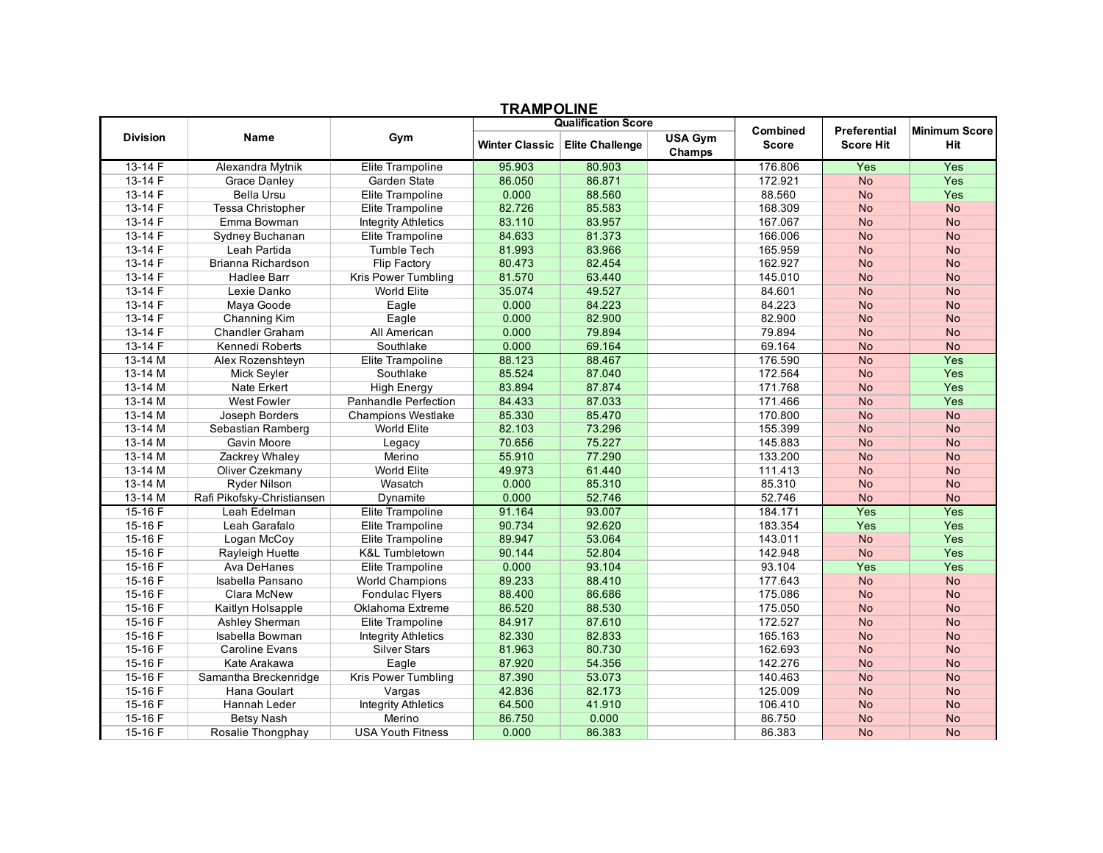| шлин<br>◡▃┅▾▃   |                            |                            |                |                            |                   |                 |                  |                      |
|-----------------|----------------------------|----------------------------|----------------|----------------------------|-------------------|-----------------|------------------|----------------------|
|                 |                            |                            |                | <b>Qualification Score</b> |                   | <b>Combined</b> | Preferential     | <b>Minimum Score</b> |
| <b>Division</b> | Name                       | Gym                        | Winter Classic | <b>Elite Challenge</b>     | USA Gym<br>Champs | <b>Score</b>    | <b>Score Hit</b> | Hit                  |
| $13-14F$        | Alexandra Mytnik           | Elite Trampoline           | 95.903         | 80.903                     |                   | 176.806         | Yes              | Yes                  |
| 13-14 F         | <b>Grace Danley</b>        | Garden State               | 86.050         | 86.871                     |                   | 172.921         | <b>No</b>        | Yes                  |
| 13-14 F         | <b>Bella Ursu</b>          | Elite Trampoline           | 0.000          | 88.560                     |                   | 88.560          | <b>No</b>        | Yes                  |
| 13-14 F         | <b>Tessa Christopher</b>   | Elite Trampoline           | 82.726         | 85.583                     |                   | 168.309         | <b>No</b>        | <b>No</b>            |
| 13-14 F         | Emma Bowman                | <b>Integrity Athletics</b> | 83.110         | 83.957                     |                   | 167.067         | <b>No</b>        | <b>No</b>            |
| $13 - 14F$      | Sydney Buchanan            | Elite Trampoline           | 84.633         | 81.373                     |                   | 166.006         | <b>No</b>        | <b>No</b>            |
| $13 - 14F$      | Leah Partida               | Tumble Tech                | 81.993         | 83.966                     |                   | 165.959         | <b>No</b>        | <b>No</b>            |
| $13 - 14F$      | Brianna Richardson         | Flip Factory               | 80.473         | 82.454                     |                   | 162.927         | <b>No</b>        | <b>No</b>            |
| 13-14 F         | <b>Hadlee Barr</b>         | Kris Power Tumbling        | 81.570         | 63.440                     |                   | 145.010         | <b>No</b>        | <b>No</b>            |
| 13-14 F         | Lexie Danko                | <b>World Elite</b>         | 35.074         | 49.527                     |                   | 84.601          | <b>No</b>        | <b>No</b>            |
| $13 - 14F$      | Maya Goode                 | Eagle                      | 0.000          | 84.223                     |                   | 84.223          | <b>No</b>        | <b>No</b>            |
| $13-14F$        | Channing Kim               | Eagle                      | 0.000          | 82.900                     |                   | 82.900          | <b>No</b>        | <b>No</b>            |
| 13-14 F         | <b>Chandler Graham</b>     | All American               | 0.000          | 79.894                     |                   | 79.894          | <b>No</b>        | <b>No</b>            |
| 13-14 F         | Kennedi Roberts            | Southlake                  | 0.000          | 69.164                     |                   | 69.164          | No               | <b>No</b>            |
| 13-14 M         | Alex Rozenshteyn           | Elite Trampoline           | 88.123         | 88.467                     |                   | 176.590         | <b>No</b>        | Yes                  |
| 13-14 M         | Mick Seyler                | Southlake                  | 85.524         | 87.040                     |                   | 172.564         | <b>No</b>        | Yes                  |
| 13-14 M         | Nate Erkert                | <b>High Energy</b>         | 83.894         | 87.874                     |                   | 171.768         | <b>No</b>        | Yes                  |
| 13-14 M         | <b>West Fowler</b>         | Panhandle Perfection       | 84.433         | 87.033                     |                   | 171.466         | <b>No</b>        | Yes                  |
| 13-14 M         | Joseph Borders             | Champions Westlake         | 85.330         | 85.470                     |                   | 170.800         | <b>No</b>        | <b>No</b>            |
| 13-14 M         | Sebastian Ramberg          | World Elite                | 82.103         | 73.296                     |                   | 155.399         | <b>No</b>        | <b>No</b>            |
| 13-14 M         | Gavin Moore                | Legacy                     | 70.656         | 75.227                     |                   | 145.883         | <b>No</b>        | <b>No</b>            |
| 13-14 M         | Zackrey Whaley             | Merino                     | 55.910         | 77.290                     |                   | 133.200         | <b>No</b>        | <b>No</b>            |
| 13-14 M         | Oliver Czekmany            | <b>World Elite</b>         | 49.973         | 61.440                     |                   | 111.413         | <b>No</b>        | <b>No</b>            |
| 13-14 M         | <b>Ryder Nilson</b>        | Wasatch                    | 0.000          | 85.310                     |                   | 85.310          | <b>No</b>        | <b>No</b>            |
| 13-14 M         | Rafi Pikofsky-Christiansen | Dynamite                   | 0.000          | 52.746                     |                   | 52.746          | <b>No</b>        | <b>No</b>            |
| $15-16F$        | Leah Edelman               | Elite Trampoline           | 91.164         | 93.007                     |                   | 184.171         | Yes              | Yes                  |
| 15-16 F         | Leah Garafalo              | Elite Trampoline           | 90.734         | 92.620                     |                   | 183.354         | Yes              | Yes                  |
| 15-16F          | Logan McCoy                | Elite Trampoline           | 89.947         | 53.064                     |                   | 143.011         | No               | Yes                  |
| 15-16 F         | Rayleigh Huette            | <b>K&amp;L Tumbletown</b>  | 90.144         | 52.804                     |                   | 142.948         | <b>No</b>        | Yes                  |
| 15-16F          | Ava DeHanes                | Elite Trampoline           | 0.000          | 93.104                     |                   | 93.104          | Yes              | Yes                  |
| 15-16 F         | Isabella Pansano           | <b>World Champions</b>     | 89.233         | 88.410                     |                   | 177.643         | <b>No</b>        | <b>No</b>            |
| 15-16 F         | Clara McNew                | <b>Fondulac Flyers</b>     | 88.400         | 86.686                     |                   | 175.086         | <b>No</b>        | <b>No</b>            |
| 15-16F          | Kaitlyn Holsapple          | Oklahoma Extreme           | 86.520         | 88.530                     |                   | 175.050         | <b>No</b>        | <b>No</b>            |
| 15-16 F         | Ashley Sherman             | Elite Trampoline           | 84.917         | 87.610                     |                   | 172.527         | <b>No</b>        | <b>No</b>            |
| 15-16 F         | Isabella Bowman            | <b>Integrity Athletics</b> | 82.330         | 82.833                     |                   | 165.163         | <b>No</b>        | <b>No</b>            |
| 15-16F          | <b>Caroline Evans</b>      | <b>Silver Stars</b>        | 81.963         | 80.730                     |                   | 162.693         | <b>No</b>        | <b>No</b>            |
| 15-16F          | Kate Arakawa               | Eagle                      | 87.920         | 54.356                     |                   | 142.276         | <b>No</b>        | <b>No</b>            |
| $15-16 F$       | Samantha Breckenridge      | <b>Kris Power Tumbling</b> | 87.390         | 53.073                     |                   | 140.463         | <b>No</b>        | <b>No</b>            |
| 15-16 F         | Hana Goulart               | Vargas                     | 42.836         | 82.173                     |                   | 125.009         | <b>No</b>        | <b>No</b>            |
| 15-16 F         | Hannah Leder               | <b>Integrity Athletics</b> | 64.500         | 41.910                     |                   | 106.410         | <b>No</b>        | <b>No</b>            |
| 15-16 F         | <b>Betsy Nash</b>          | Merino                     | 86.750         | 0.000                      |                   | 86.750          | <b>No</b>        | <b>No</b>            |
| 15-16 F         | Rosalie Thongphay          | <b>USA Youth Fitness</b>   | 0.000          | 86.383                     |                   | 86.383          | <b>No</b>        | <b>No</b>            |

## **TRAMPOLINE**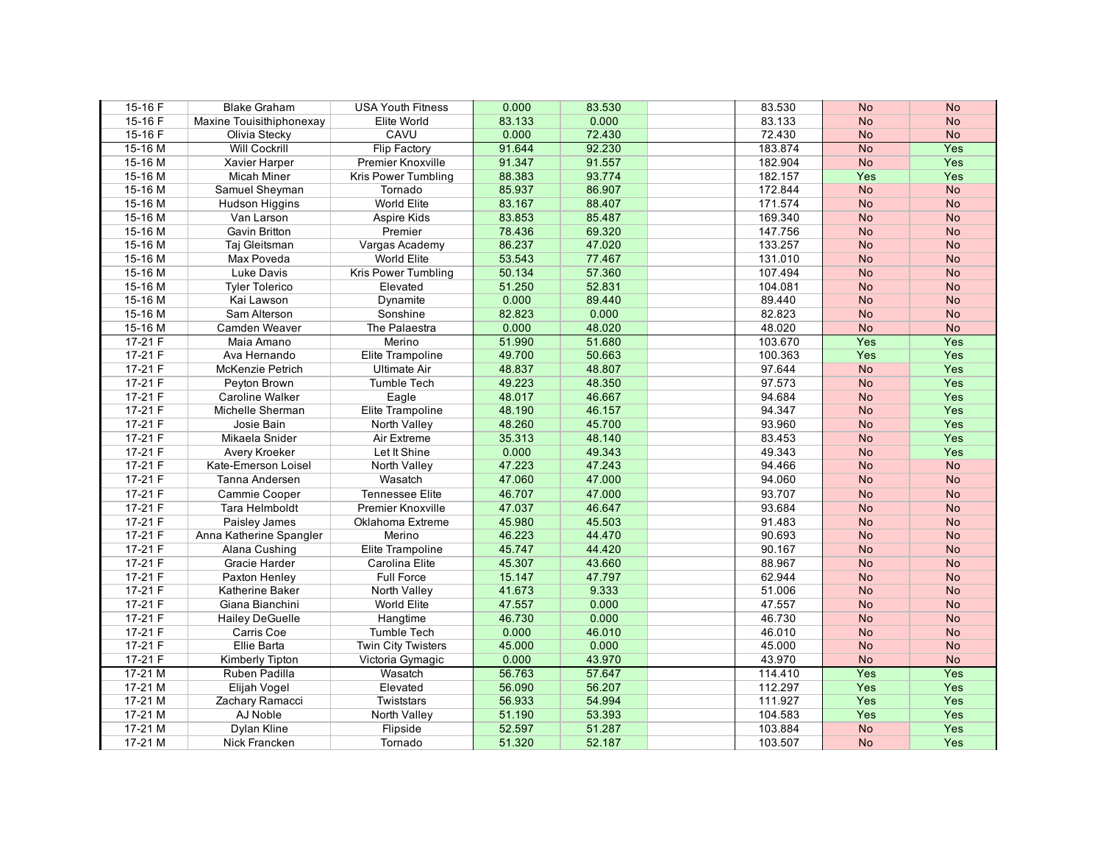| 15-16 F   | <b>Blake Graham</b>      | <b>USA Youth Fitness</b> | 0.000  | 83.530 | 83.530  | <b>No</b> | <b>No</b> |
|-----------|--------------------------|--------------------------|--------|--------|---------|-----------|-----------|
| 15-16F    | Maxine Touisithiphonexay | Elite World              | 83.133 | 0.000  | 83.133  | <b>No</b> | <b>No</b> |
| 15-16 F   | Olivia Stecky            | CAVU                     | 0.000  | 72.430 | 72.430  | <b>No</b> | <b>No</b> |
| 15-16 M   | <b>Will Cockrill</b>     | <b>Flip Factory</b>      | 91.644 | 92.230 | 183.874 | <b>No</b> | Yes       |
| 15-16 M   | Xavier Harper            | Premier Knoxville        | 91.347 | 91.557 | 182.904 | <b>No</b> | Yes       |
| 15-16 M   | Micah Miner              | Kris Power Tumbling      | 88.383 | 93.774 | 182.157 | Yes       | Yes       |
| 15-16 M   | Samuel Sheyman           | Tornado                  | 85.937 | 86.907 | 172.844 | <b>No</b> | <b>No</b> |
| 15-16 M   | Hudson Higgins           | World Elite              | 83.167 | 88.407 | 171.574 | <b>No</b> | <b>No</b> |
| 15-16 M   | Van Larson               | <b>Aspire Kids</b>       | 83.853 | 85.487 | 169.340 | <b>No</b> | <b>No</b> |
| 15-16 M   | Gavin Britton            | Premier                  | 78.436 | 69.320 | 147.756 | <b>No</b> | <b>No</b> |
| 15-16 M   | Taj Gleitsman            | Vargas Academy           | 86.237 | 47.020 | 133.257 | <b>No</b> | <b>No</b> |
| 15-16 M   | Max Poveda               | <b>World Elite</b>       | 53.543 | 77.467 | 131.010 | <b>No</b> | <b>No</b> |
| 15-16 M   | Luke Davis               | Kris Power Tumbling      | 50.134 | 57.360 | 107.494 | <b>No</b> | <b>No</b> |
| 15-16 M   | <b>Tyler Tolerico</b>    | Elevated                 | 51.250 | 52.831 | 104.081 | <b>No</b> | <b>No</b> |
| 15-16 M   | Kai Lawson               | Dynamite                 | 0.000  | 89.440 | 89.440  | <b>No</b> | <b>No</b> |
| 15-16 M   | Sam Alterson             | Sonshine                 | 82.823 | 0.000  | 82.823  | <b>No</b> | <b>No</b> |
| 15-16 M   | Camden Weaver            | The Palaestra            | 0.000  | 48.020 | 48.020  | <b>No</b> | <b>No</b> |
| $17-21 F$ | Maia Amano               | Merino                   | 51.990 | 51.680 | 103.670 | Yes       | Yes       |
| $17-21 F$ | Ava Hernando             | Elite Trampoline         | 49.700 | 50.663 | 100.363 | Yes       | Yes       |
| 17-21 F   | McKenzie Petrich         | <b>Ultimate Air</b>      | 48.837 | 48.807 | 97.644  | <b>No</b> | Yes       |
| $17-21 F$ | Peyton Brown             | <b>Tumble Tech</b>       | 49.223 | 48.350 | 97.573  | <b>No</b> | Yes       |
| $17-21 F$ | <b>Caroline Walker</b>   | Eagle                    | 48.017 | 46.667 | 94.684  | <b>No</b> | Yes       |
| $17-21 F$ | Michelle Sherman         | Elite Trampoline         | 48.190 | 46.157 | 94.347  | <b>No</b> | Yes       |
| $17-21 F$ | Josie Bain               | North Valley             | 48.260 | 45.700 | 93.960  | <b>No</b> | Yes       |
| 17-21 F   | Mikaela Snider           | Air Extreme              | 35.313 | 48.140 | 83.453  | <b>No</b> | Yes       |
| $17-21 F$ | Avery Kroeker            | Let It Shine             | 0.000  | 49.343 | 49.343  | <b>No</b> | Yes       |
| $17-21 F$ | Kate-Emerson Loisel      | North Valley             | 47.223 | 47.243 | 94.466  | <b>No</b> | <b>No</b> |
| $17-21 F$ | Tanna Andersen           | Wasatch                  | 47.060 | 47.000 | 94.060  | <b>No</b> | <b>No</b> |
| $17-21 F$ | Cammie Cooper            | <b>Tennessee Elite</b>   | 46.707 | 47.000 | 93.707  | <b>No</b> | <b>No</b> |
| $17-21 F$ | Tara Helmboldt           | <b>Premier Knoxville</b> | 47.037 | 46.647 | 93.684  | <b>No</b> | <b>No</b> |
| 17-21 F   | Paisley James            | Oklahoma Extreme         | 45.980 | 45.503 | 91.483  | <b>No</b> | <b>No</b> |
| $17-21 F$ | Anna Katherine Spangler  | Merino                   | 46.223 | 44.470 | 90.693  | <b>No</b> | <b>No</b> |
| 17-21 F   | Alana Cushing            | Elite Trampoline         | 45.747 | 44.420 | 90.167  | <b>No</b> | <b>No</b> |
| $17-21 F$ | Gracie Harder            | Carolina Elite           | 45.307 | 43.660 | 88.967  | <b>No</b> | <b>No</b> |
| $17-21 F$ | Paxton Henley            | <b>Full Force</b>        | 15.147 | 47.797 | 62.944  | <b>No</b> | <b>No</b> |
| 17-21 F   | Katherine Baker          | North Valley             | 41.673 | 9.333  | 51.006  | <b>No</b> | <b>No</b> |
| $17-21 F$ | Giana Bianchini          | World Elite              | 47.557 | 0.000  | 47.557  | <b>No</b> | <b>No</b> |
| $17-21 F$ | <b>Hailey DeGuelle</b>   | Hangtime                 | 46.730 | 0.000  | 46.730  | <b>No</b> | <b>No</b> |
| $17-21 F$ | Carris Coe               | <b>Tumble Tech</b>       | 0.000  | 46.010 | 46.010  | <b>No</b> | <b>No</b> |
| $17-21 F$ | Ellie Barta              | Twin City Twisters       | 45.000 | 0.000  | 45.000  | <b>No</b> | <b>No</b> |
| $17-21 F$ | Kimberly Tipton          | Victoria Gymagic         | 0.000  | 43.970 | 43.970  | <b>No</b> | <b>No</b> |
| $17-21$ M | Ruben Padilla            | Wasatch                  | 56.763 | 57.647 | 114.410 | Yes       | Yes       |
| $17-21$ M | Elijah Vogel             | Elevated                 | 56.090 | 56.207 | 112.297 | Yes       | Yes       |
| $17-21$ M | Zachary Ramacci          | Twiststars               | 56.933 | 54.994 | 111.927 | Yes       | Yes       |
| $17-21$ M | AJ Noble                 | <b>North Valley</b>      | 51.190 | 53.393 | 104.583 | Yes       | Yes       |
| $17-21$ M | Dylan Kline              | Flipside                 | 52.597 | 51.287 | 103.884 | <b>No</b> | Yes       |
| $17-21$ M | Nick Francken            | Tornado                  | 51.320 | 52.187 | 103.507 | <b>No</b> | Yes       |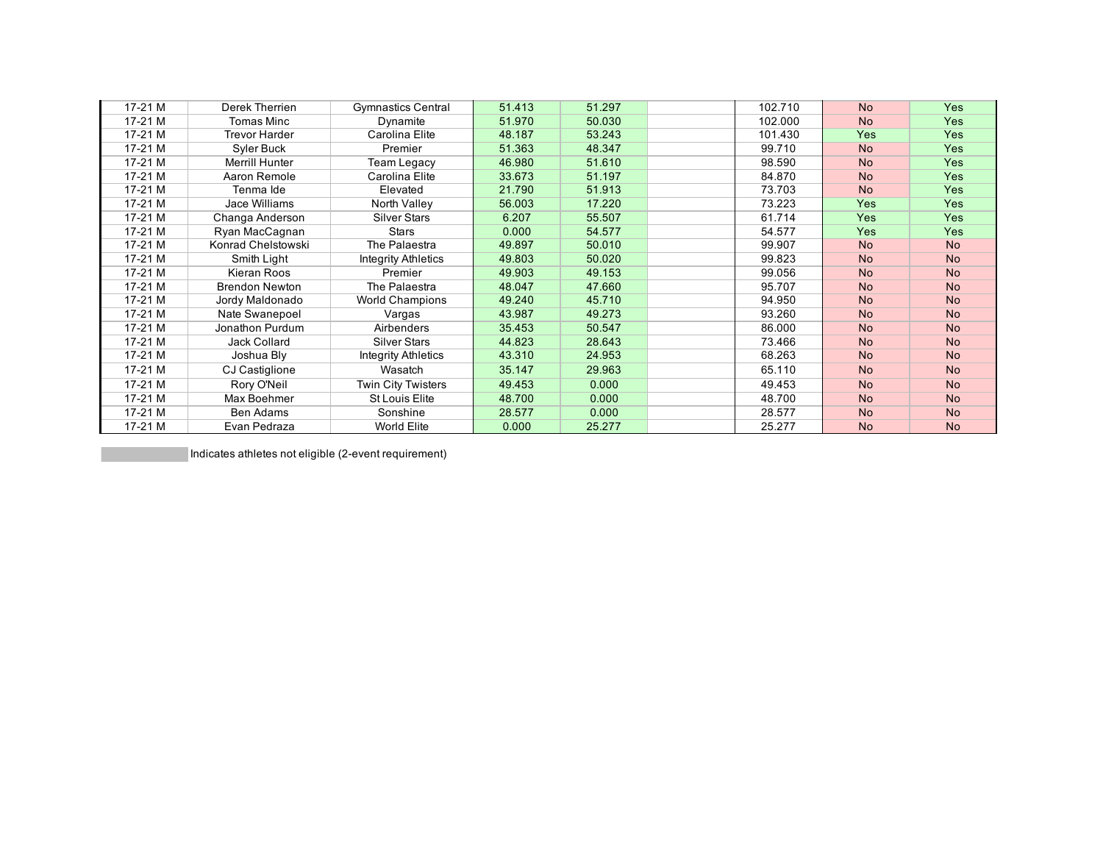| $17-21M$ | Derek Therrien        | <b>Gymnastics Central</b> | 51.413 | 51.297 | 102.710 | <b>No</b>  | <b>Yes</b> |
|----------|-----------------------|---------------------------|--------|--------|---------|------------|------------|
| 17-21 M  | <b>Tomas Minc</b>     | Dynamite                  | 51.970 | 50.030 | 102.000 | <b>No</b>  | <b>Yes</b> |
| $17-21M$ | <b>Trevor Harder</b>  | Carolina Elite            | 48.187 | 53.243 | 101.430 | <b>Yes</b> | <b>Yes</b> |
| 17-21 M  | Syler Buck            | Premier                   | 51.363 | 48.347 | 99.710  | <b>No</b>  | <b>Yes</b> |
| 17-21 M  | Merrill Hunter        | Team Legacy               | 46.980 | 51.610 | 98.590  | <b>No</b>  | <b>Yes</b> |
| 17-21 M  | Aaron Remole          | Carolina Elite            | 33.673 | 51.197 | 84.870  | <b>No</b>  | <b>Yes</b> |
| 17-21 M  | Tenma Ide             | Elevated                  | 21.790 | 51.913 | 73.703  | <b>No</b>  | <b>Yes</b> |
| $17-21M$ | Jace Williams         | North Valley              | 56.003 | 17.220 | 73.223  | <b>Yes</b> | <b>Yes</b> |
| 17-21 M  | Changa Anderson       | <b>Silver Stars</b>       | 6.207  | 55.507 | 61.714  | <b>Yes</b> | <b>Yes</b> |
| 17-21 M  | Ryan MacCagnan        | <b>Stars</b>              | 0.000  | 54.577 | 54.577  | <b>Yes</b> | <b>Yes</b> |
| $17-21M$ | Konrad Chelstowski    | The Palaestra             | 49.897 | 50.010 | 99.907  | <b>No</b>  | <b>No</b>  |
| 17-21 M  | Smith Light           | Integrity Athletics       | 49.803 | 50.020 | 99.823  | <b>No</b>  | <b>No</b>  |
| $17-21M$ | Kieran Roos           | Premier                   | 49.903 | 49.153 | 99.056  | <b>No</b>  | <b>No</b>  |
| $17-21M$ | <b>Brendon Newton</b> | The Palaestra             | 48.047 | 47.660 | 95.707  | <b>No</b>  | <b>No</b>  |
| 17-21 M  | Jordy Maldonado       | <b>World Champions</b>    | 49.240 | 45.710 | 94.950  | <b>No</b>  | <b>No</b>  |
| 17-21 M  | Nate Swanepoel        | Vargas                    | 43.987 | 49.273 | 93.260  | <b>No</b>  | <b>No</b>  |
| 17-21 M  | Jonathon Purdum       | Airbenders                | 35.453 | 50.547 | 86.000  | <b>No</b>  | <b>No</b>  |
| 17-21 M  | Jack Collard          | <b>Silver Stars</b>       | 44.823 | 28.643 | 73.466  | <b>No</b>  | <b>No</b>  |
| 17-21 M  | Joshua Bly            | Integrity Athletics       | 43.310 | 24.953 | 68.263  | <b>No</b>  | <b>No</b>  |
| 17-21 M  | CJ Castiglione        | Wasatch                   | 35.147 | 29.963 | 65.110  | <b>No</b>  | <b>No</b>  |
| 17-21 M  | Rory O'Neil           | <b>Twin City Twisters</b> | 49.453 | 0.000  | 49.453  | <b>No</b>  | <b>No</b>  |
| $17-21M$ | Max Boehmer           | <b>St Louis Elite</b>     | 48.700 | 0.000  | 48.700  | <b>No</b>  | <b>No</b>  |
| 17-21 M  | Ben Adams             | Sonshine                  | 28.577 | 0.000  | 28.577  | <b>No</b>  | <b>No</b>  |
| 17-21 M  | Evan Pedraza          | World Elite               | 0.000  | 25.277 | 25.277  | <b>No</b>  | <b>No</b>  |

Indicates athletes not eligible (2-event requirement)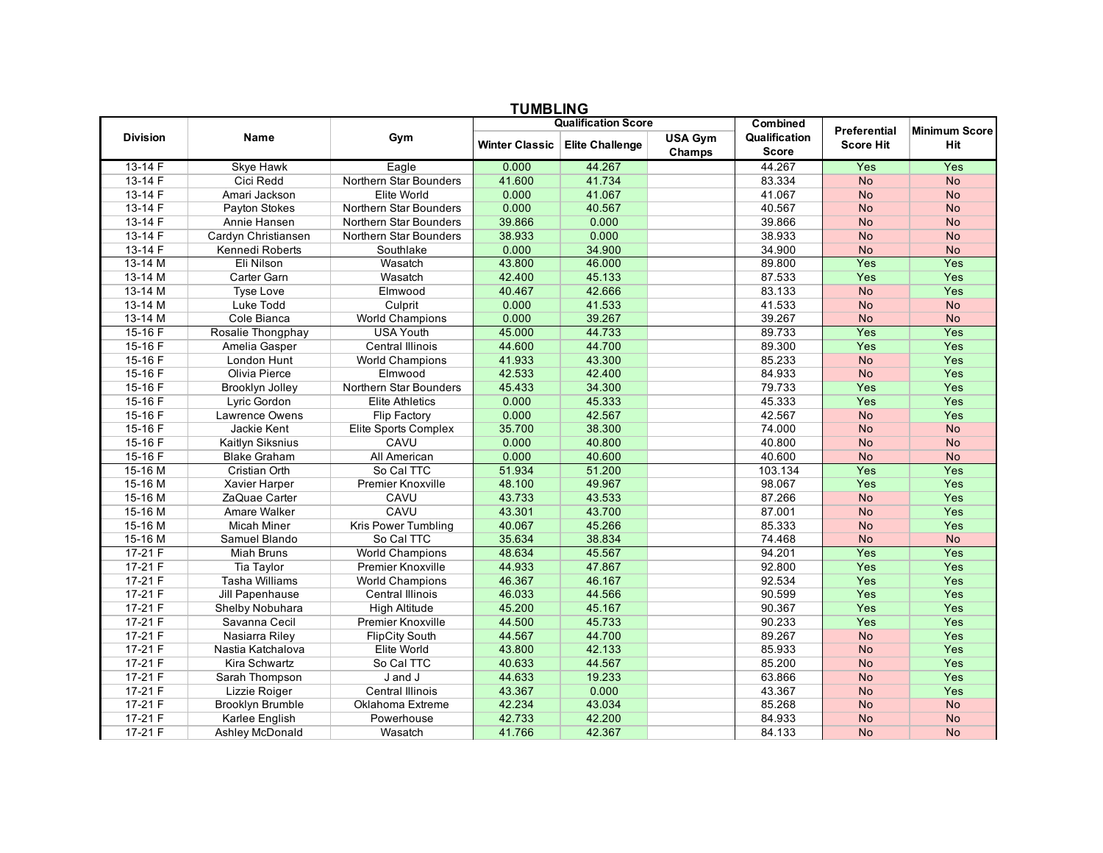|                 | <b>TUMBLING</b>         |                            |                       |                        |                          |                               |                                  |                             |  |  |  |
|-----------------|-------------------------|----------------------------|-----------------------|------------------------|--------------------------|-------------------------------|----------------------------------|-----------------------------|--|--|--|
|                 |                         | <b>Qualification Score</b> |                       |                        |                          | <b>Combined</b>               |                                  |                             |  |  |  |
| <b>Division</b> | <b>Name</b>             | Gym                        | <b>Winter Classic</b> | <b>Elite Challenge</b> | <b>USA Gym</b><br>Champs | Qualification<br><b>Score</b> | Preferential<br><b>Score Hit</b> | <b>Minimum Score</b><br>Hit |  |  |  |
| 13-14 F         | <b>Skye Hawk</b>        | Eagle                      | 0.000                 | 44.267                 |                          | 44.267                        | Yes                              | Yes                         |  |  |  |
| 13-14 F         | Cici Redd               | Northern Star Bounders     | 41.600                | 41.734                 |                          | 83.334                        | <b>No</b>                        | <b>No</b>                   |  |  |  |
| $13 - 14F$      | Amari Jackson           | Elite World                | 0.000                 | 41.067                 |                          | 41.067                        | <b>No</b>                        | <b>No</b>                   |  |  |  |
| 13-14 F         | Payton Stokes           | Northern Star Bounders     | 0.000                 | 40.567                 |                          | 40.567                        | <b>No</b>                        | <b>No</b>                   |  |  |  |
| $13 - 14F$      | Annie Hansen            | Northern Star Bounders     | 39.866                | 0.000                  |                          | 39.866                        | <b>No</b>                        | <b>No</b>                   |  |  |  |
| 13-14 F         | Cardyn Christiansen     | Northern Star Bounders     | 38.933                | 0.000                  |                          | 38.933                        | <b>No</b>                        | <b>No</b>                   |  |  |  |
| $13 - 14F$      | Kennedi Roberts         | Southlake                  | 0.000                 | 34.900                 |                          | 34.900                        | <b>No</b>                        | <b>No</b>                   |  |  |  |
| 13-14 M         | Eli Nilson              | Wasatch                    | 43.800                | 46.000                 |                          | 89.800                        | Yes                              | Yes                         |  |  |  |
| 13-14 M         | Carter Garn             | Wasatch                    | 42.400                | 45.133                 |                          | 87.533                        | Yes                              | Yes                         |  |  |  |
| $13-14$ M       | <b>Tyse Love</b>        | Elmwood                    | 40.467                | 42.666                 |                          | 83.133                        | <b>No</b>                        | Yes                         |  |  |  |
| 13-14 M         | Luke Todd               | Culprit                    | 0.000                 | 41.533                 |                          | 41.533                        | <b>No</b>                        | <b>No</b>                   |  |  |  |
| $13-14$ M       | Cole Bianca             | <b>World Champions</b>     | 0.000                 | 39.267                 |                          | 39.267                        | <b>No</b>                        | <b>No</b>                   |  |  |  |
| 15-16 F         | Rosalie Thongphay       | <b>USA Youth</b>           | 45.000                | 44.733                 |                          | 89.733                        | Yes                              | Yes                         |  |  |  |
| 15-16F          | Amelia Gasper           | Central Illinois           | 44.600                | 44.700                 |                          | 89.300                        | Yes                              | Yes                         |  |  |  |
| $15-16F$        | London Hunt             | <b>World Champions</b>     | 41.933                | 43.300                 |                          | 85.233                        | <b>No</b>                        | Yes                         |  |  |  |
| 15-16 F         | <b>Olivia Pierce</b>    | Elmwood                    | 42.533                | 42.400                 |                          | 84.933                        | <b>No</b>                        | Yes                         |  |  |  |
| $15-16F$        | Brooklyn Jolley         | Northern Star Bounders     | 45.433                | 34.300                 |                          | 79.733                        | Yes                              | Yes                         |  |  |  |
| 15-16 F         | Lyric Gordon            | <b>Elite Athletics</b>     | 0.000                 | 45.333                 |                          | 45.333                        | Yes                              | Yes                         |  |  |  |
| 15-16F          | Lawrence Owens          | <b>Flip Factory</b>        | 0.000                 | 42.567                 |                          | 42.567                        | <b>No</b>                        | Yes                         |  |  |  |
| 15-16 F         | Jackie Kent             | Elite Sports Complex       | 35.700                | 38.300                 |                          | 74.000                        | <b>No</b>                        | <b>No</b>                   |  |  |  |
| $15-16$ F       | Kaitlyn Siksnius        | CAVU                       | 0.000                 | 40.800                 |                          | 40.800                        | <b>No</b>                        | <b>No</b>                   |  |  |  |
| 15-16 F         | <b>Blake Graham</b>     | All American               | 0.000                 | 40.600                 |                          | 40.600                        | <b>No</b>                        | <b>No</b>                   |  |  |  |
| $15-16M$        | <b>Cristian Orth</b>    | So Cal TTC                 | 51.934                | 51.200                 |                          | 103.134                       | Yes                              | Yes                         |  |  |  |
| 15-16 M         | Xavier Harper           | Premier Knoxville          | 48.100                | 49.967                 |                          | 98.067                        | Yes                              | Yes                         |  |  |  |
| 15-16 M         | ZaQuae Carter           | CAVU                       | 43.733                | 43.533                 |                          | 87.266                        | <b>No</b>                        | Yes                         |  |  |  |
| 15-16 M         | Amare Walker            | CAVU                       | 43.301                | 43.700                 |                          | 87.001                        | <b>No</b>                        | Yes                         |  |  |  |
| 15-16 M         | <b>Micah Miner</b>      | Kris Power Tumbling        | 40.067                | 45.266                 |                          | 85.333                        | <b>No</b>                        | Yes                         |  |  |  |
| 15-16 M         | Samuel Blando           | So Cal TTC                 | 35.634                | 38.834                 |                          | 74.468                        | <b>No</b>                        | <b>No</b>                   |  |  |  |
| 17-21 F         | <b>Miah Bruns</b>       | <b>World Champions</b>     | 48.634                | 45.567                 |                          | 94.201                        | Yes                              | Yes                         |  |  |  |
| $17-21 F$       | Tia Taylor              | <b>Premier Knoxville</b>   | 44.933                | 47.867                 |                          | 92.800                        | Yes                              | Yes                         |  |  |  |
| $17-21 F$       | <b>Tasha Williams</b>   | <b>World Champions</b>     | 46.367                | 46.167                 |                          | 92.534                        | Yes                              | Yes                         |  |  |  |
| $17-21 F$       | Jill Papenhause         | <b>Central Illinois</b>    | 46.033                | 44.566                 |                          | 90.599                        | Yes                              | Yes                         |  |  |  |
| $17-21 F$       | Shelby Nobuhara         | High Altitude              | 45.200                | 45.167                 |                          | 90.367                        | Yes                              | Yes                         |  |  |  |
| 17-21 F         | Savanna Cecil           | Premier Knoxville          | 44.500                | 45.733                 |                          | 90.233                        | Yes                              | Yes                         |  |  |  |
| $17-21 F$       | Nasiarra Riley          | <b>FlipCity South</b>      | 44.567                | 44.700                 |                          | 89.267                        | <b>No</b>                        | Yes                         |  |  |  |
| $17-21 F$       | Nastia Katchalova       | Elite World                | 43.800                | 42.133                 |                          | 85.933                        | <b>No</b>                        | Yes                         |  |  |  |
| $17-21 F$       | Kira Schwartz           | So Cal TTC                 | 40.633                | 44.567                 |                          | 85.200                        | No                               | Yes                         |  |  |  |
| $17-21 F$       | Sarah Thompson          | J and J                    | 44.633                | 19.233                 |                          | 63.866                        | <b>No</b>                        | Yes                         |  |  |  |
| 17-21 F         | Lizzie Roiger           | <b>Central Illinois</b>    | 43.367                | 0.000                  |                          | 43.367                        | <b>No</b>                        | Yes                         |  |  |  |
| $17-21 F$       | <b>Brooklyn Brumble</b> | Oklahoma Extreme           | 42.234                | 43.034                 |                          | 85.268                        | <b>No</b>                        | <b>No</b>                   |  |  |  |
| $17-21 F$       | Karlee English          | Powerhouse                 | 42.733                | 42.200                 |                          | 84.933                        | <b>No</b>                        | <b>No</b>                   |  |  |  |
| $17-21 F$       | Ashley McDonald         | Wasatch                    | 41.766                | 42.367                 |                          | 84.133                        | <b>No</b>                        | <b>No</b>                   |  |  |  |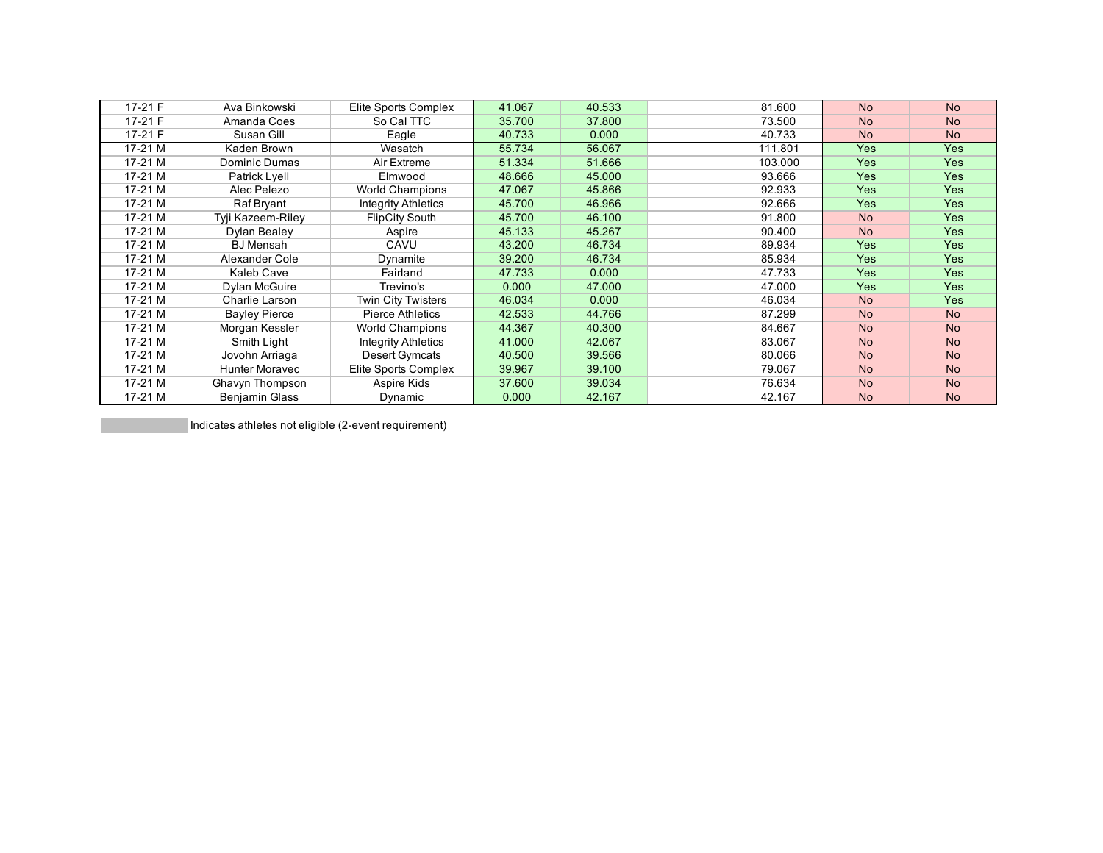| 17-21 F  | Ava Binkowski         | Elite Sports Complex       | 41.067 | 40.533 | 81.600  | <b>No</b>  | <b>No</b>  |
|----------|-----------------------|----------------------------|--------|--------|---------|------------|------------|
| 17-21 F  | Amanda Coes           | So Cal TTC                 | 35.700 | 37.800 | 73.500  | <b>No</b>  | <b>No</b>  |
| 17-21 F  | Susan Gill            | Eagle                      | 40.733 | 0.000  | 40.733  | <b>No</b>  | <b>No</b>  |
| 17-21 M  | Kaden Brown           | Wasatch                    | 55.734 | 56.067 | 111.801 | <b>Yes</b> | <b>Yes</b> |
| $17-21M$ | Dominic Dumas         | Air Extreme                | 51.334 | 51.666 | 103.000 | <b>Yes</b> | <b>Yes</b> |
| $17-21M$ | Patrick Lyell         | Elmwood                    | 48.666 | 45.000 | 93.666  | <b>Yes</b> | <b>Yes</b> |
| 17-21 M  | Alec Pelezo           | <b>World Champions</b>     | 47.067 | 45.866 | 92.933  | <b>Yes</b> | Yes        |
| $17-21M$ | Raf Bryant            | <b>Integrity Athletics</b> | 45.700 | 46.966 | 92.666  | <b>Yes</b> | <b>Yes</b> |
| 17-21 M  | Tyji Kazeem-Riley     | <b>FlipCity South</b>      | 45.700 | 46.100 | 91.800  | <b>No</b>  | <b>Yes</b> |
| 17-21 M  | Dylan Bealey          | Aspire                     | 45.133 | 45.267 | 90.400  | <b>No</b>  | <b>Yes</b> |
| $17-21M$ | <b>BJ</b> Mensah      | CAVU                       | 43.200 | 46.734 | 89.934  | <b>Yes</b> | <b>Yes</b> |
| 17-21 M  | Alexander Cole        | Dynamite                   | 39.200 | 46.734 | 85.934  | <b>Yes</b> | <b>Yes</b> |
| $17-21M$ | Kaleb Cave            | Fairland                   | 47.733 | 0.000  | 47.733  | <b>Yes</b> | <b>Yes</b> |
| $17-21M$ | Dylan McGuire         | Trevino's                  | 0.000  | 47.000 | 47.000  | <b>Yes</b> | <b>Yes</b> |
| 17-21 M  | Charlie Larson        | Twin City Twisters         | 46.034 | 0.000  | 46.034  | <b>No</b>  | <b>Yes</b> |
| $17-21M$ | <b>Bayley Pierce</b>  | Pierce Athletics           | 42.533 | 44.766 | 87.299  | <b>No</b>  | <b>No</b>  |
| $17-21M$ | Morgan Kessler        | <b>World Champions</b>     | 44.367 | 40.300 | 84.667  | <b>No</b>  | <b>No</b>  |
| 17-21 M  | Smith Light           | <b>Integrity Athletics</b> | 41.000 | 42.067 | 83.067  | <b>No</b>  | <b>No</b>  |
| 17-21 M  | Jovohn Arriaga        | Desert Gymcats             | 40.500 | 39.566 | 80.066  | <b>No</b>  | <b>No</b>  |
| 17-21 M  | <b>Hunter Moravec</b> | Elite Sports Complex       | 39.967 | 39.100 | 79.067  | <b>No</b>  | <b>No</b>  |
| 17-21 M  | Ghavyn Thompson       | Aspire Kids                | 37,600 | 39.034 | 76.634  | <b>No</b>  | <b>No</b>  |
| 17-21 M  | <b>Benjamin Glass</b> | Dynamic                    | 0.000  | 42.167 | 42.167  | <b>No</b>  | <b>No</b>  |

Indicates athletes not eligible (2-event requirement)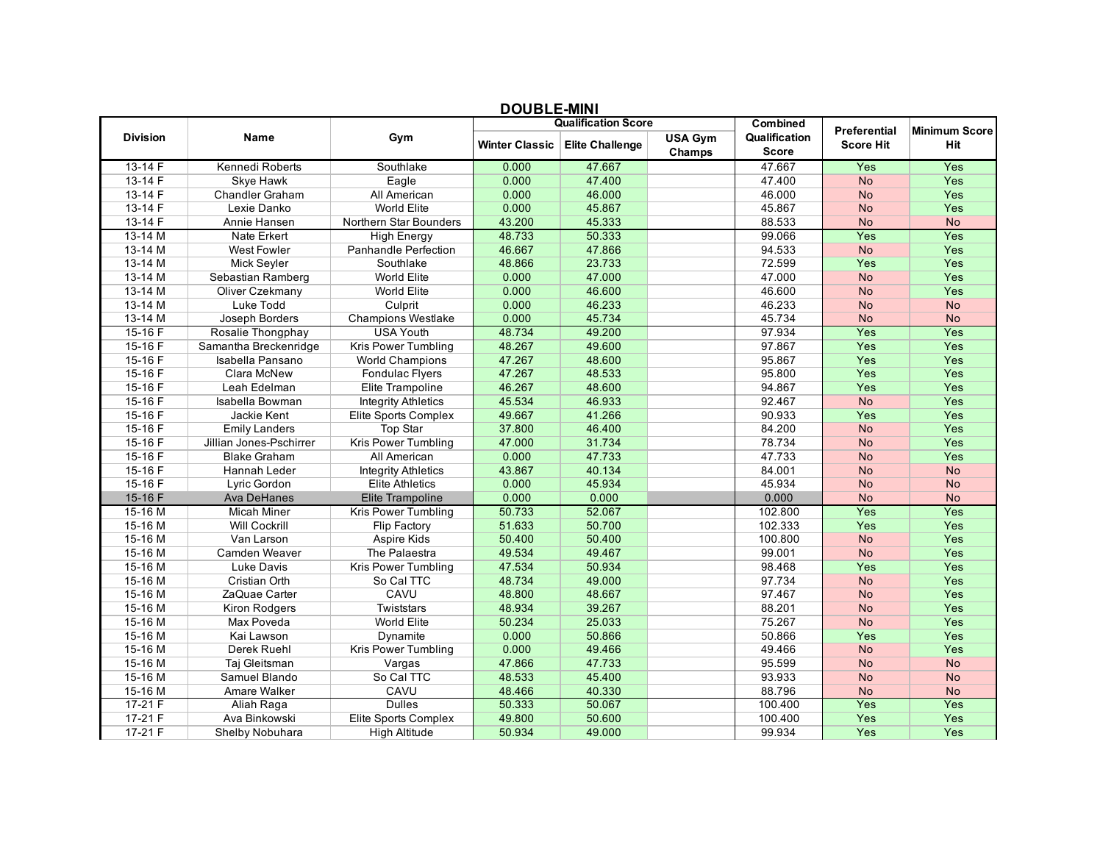|                 |                         | <b>フ▽∪⊔</b> ∟∟−่พ!!!◥!     |                |                            |                          |                               |                  |                      |
|-----------------|-------------------------|----------------------------|----------------|----------------------------|--------------------------|-------------------------------|------------------|----------------------|
|                 |                         |                            |                | <b>Qualification Score</b> |                          | <b>Combined</b>               | Preferential     | <b>Minimum Score</b> |
| <b>Division</b> | Name                    | Gym                        | Winter Classic | <b>Elite Challenge</b>     | <b>USA Gym</b><br>Champs | Qualification<br><b>Score</b> | <b>Score Hit</b> | Hit                  |
| $13-14F$        | Kennedi Roberts         | Southlake                  | 0.000          | 47.667                     |                          | 47.667                        | Yes              | Yes                  |
| $13 - 14F$      | Skye Hawk               | Eagle                      | 0.000          | 47.400                     |                          | 47.400                        | <b>No</b>        | Yes                  |
| 13-14 F         | <b>Chandler Graham</b>  | All American               | 0.000          | 46.000                     |                          | 46.000                        | <b>No</b>        | Yes                  |
| 13-14 F         | Lexie Danko             | <b>World Elite</b>         | 0.000          | 45.867                     |                          | 45.867                        | <b>No</b>        | Yes                  |
| 13-14 F         | Annie Hansen            | Northern Star Bounders     | 43.200         | 45.333                     |                          | 88.533                        | <b>No</b>        | <b>No</b>            |
| $13-14$ M       | Nate Erkert             | <b>High Energy</b>         | 48.733         | 50.333                     |                          | 99.066                        | Yes              | Yes                  |
| 13-14 M         | <b>West Fowler</b>      | Panhandle Perfection       | 46.667         | 47.866                     |                          | 94.533                        | <b>No</b>        | Yes                  |
| 13-14 M         | Mick Seyler             | Southlake                  | 48.866         | 23.733                     |                          | 72.599                        | Yes              | Yes                  |
| 13-14 M         | Sebastian Ramberg       | <b>World Elite</b>         | 0.000          | 47.000                     |                          | 47.000                        | <b>No</b>        | Yes                  |
| 13-14 M         | Oliver Czekmany         | <b>World Elite</b>         | 0.000          | 46.600                     |                          | 46.600                        | <b>No</b>        | Yes                  |
| 13-14 M         | Luke Todd               | Culprit                    | 0.000          | 46.233                     |                          | 46.233                        | <b>No</b>        | <b>No</b>            |
| 13-14 M         | Joseph Borders          | <b>Champions Westlake</b>  | 0.000          | 45.734                     |                          | 45.734                        | <b>No</b>        | <b>No</b>            |
| 15-16F          | Rosalie Thongphay       | USA Youth                  | 48.734         | 49.200                     |                          | 97.934                        | Yes              | Yes                  |
| 15-16 F         | Samantha Breckenridge   | Kris Power Tumbling        | 48.267         | 49.600                     |                          | 97.867                        | Yes              | Yes                  |
| 15-16 F         | Isabella Pansano        | <b>World Champions</b>     | 47.267         | 48.600                     |                          | 95.867                        | Yes              | Yes                  |
| 15-16F          | Clara McNew             | Fondulac Flyers            | 47.267         | 48.533                     |                          | 95.800                        | Yes              | Yes                  |
| 15-16 F         | Leah Edelman            | Elite Trampoline           | 46.267         | 48.600                     |                          | 94.867                        | Yes              | Yes                  |
| 15-16 F         | Isabella Bowman         | <b>Integrity Athletics</b> | 45.534         | 46.933                     |                          | 92.467                        | <b>No</b>        | Yes                  |
| 15-16F          | Jackie Kent             | Elite Sports Complex       | 49.667         | 41.266                     |                          | 90.933                        | Yes              | Yes                  |
| 15-16 F         | <b>Emily Landers</b>    | <b>Top Star</b>            | 37.800         | 46.400                     |                          | 84.200                        | <b>No</b>        | Yes                  |
| 15-16 F         | Jillian Jones-Pschirrer | <b>Kris Power Tumbling</b> | 47.000         | 31.734                     |                          | 78.734                        | <b>No</b>        | Yes                  |
| 15-16 F         | <b>Blake Graham</b>     | All American               | 0.000          | 47.733                     |                          | 47.733                        | <b>No</b>        | Yes                  |
| 15-16 F         | Hannah Leder            | <b>Integrity Athletics</b> | 43.867         | 40.134                     |                          | 84.001                        | <b>No</b>        | <b>No</b>            |
| 15-16 F         | Lyric Gordon            | <b>Elite Athletics</b>     | 0.000          | 45.934                     |                          | 45.934                        | <b>No</b>        | <b>No</b>            |
| 15-16 F         | <b>Ava DeHanes</b>      | Elite Trampoline           | 0.000          | 0.000                      |                          | 0.000                         | <b>No</b>        | <b>No</b>            |
| $15-16M$        | <b>Micah Miner</b>      | Kris Power Tumbling        | 50.733         | 52.067                     |                          | 102.800                       | Yes              | Yes                  |
| 15-16 M         | <b>Will Cockrill</b>    | Flip Factory               | 51.633         | 50.700                     |                          | 102.333                       | Yes              | Yes                  |
| 15-16 M         | Van Larson              | Aspire Kids                | 50.400         | 50.400                     |                          | 100.800                       | No               | Yes                  |
| 15-16 M         | Camden Weaver           | The Palaestra              | 49.534         | 49.467                     |                          | 99.001                        | <b>No</b>        | Yes                  |
| 15-16 M         | Luke Davis              | Kris Power Tumbling        | 47.534         | 50.934                     |                          | 98.468                        | Yes              | Yes                  |
| 15-16 M         | Cristian Orth           | So Cal TTC                 | 48.734         | 49.000                     |                          | 97.734                        | <b>No</b>        | Yes                  |
| 15-16 M         | ZaQuae Carter           | CAVU                       | 48.800         | 48.667                     |                          | 97.467                        | <b>No</b>        | Yes                  |
| 15-16 M         | Kiron Rodgers           | Twiststars                 | 48.934         | 39.267                     |                          | 88.201                        | <b>No</b>        | Yes                  |
| 15-16 M         | Max Poveda              | World Elite                | 50.234         | 25.033                     |                          | 75.267                        | <b>No</b>        | Yes                  |
| 15-16 M         | Kai Lawson              | Dynamite                   | 0.000          | 50.866                     |                          | 50.866                        | Yes              | Yes                  |
| 15-16 M         | Derek Ruehl             | Kris Power Tumbling        | 0.000          | 49.466                     |                          | 49.466                        | <b>No</b>        | Yes                  |
| 15-16 M         | Taj Gleitsman           | Vargas                     | 47.866         | 47.733                     |                          | 95.599                        | <b>No</b>        | <b>No</b>            |
| 15-16 M         | Samuel Blando           | So Cal TTC                 | 48.533         | 45.400                     |                          | 93.933                        | <b>No</b>        | <b>No</b>            |
| 15-16 M         | Amare Walker            | CAVU                       | 48.466         | 40.330                     |                          | 88.796                        | <b>No</b>        | <b>No</b>            |
| $17-21 F$       | Aliah Raga              | <b>Dulles</b>              | 50.333         | 50.067                     |                          | 100.400                       | Yes              | Yes                  |
| $17-21 F$       | Ava Binkowski           | Elite Sports Complex       | 49.800         | 50.600                     |                          | 100.400                       | Yes              | Yes                  |
| $17-21 F$       | Shelby Nobuhara         | <b>High Altitude</b>       | 50.934         | 49.000                     |                          | 99.934                        | Yes              | Yes                  |

## **DOUBLE-MINI**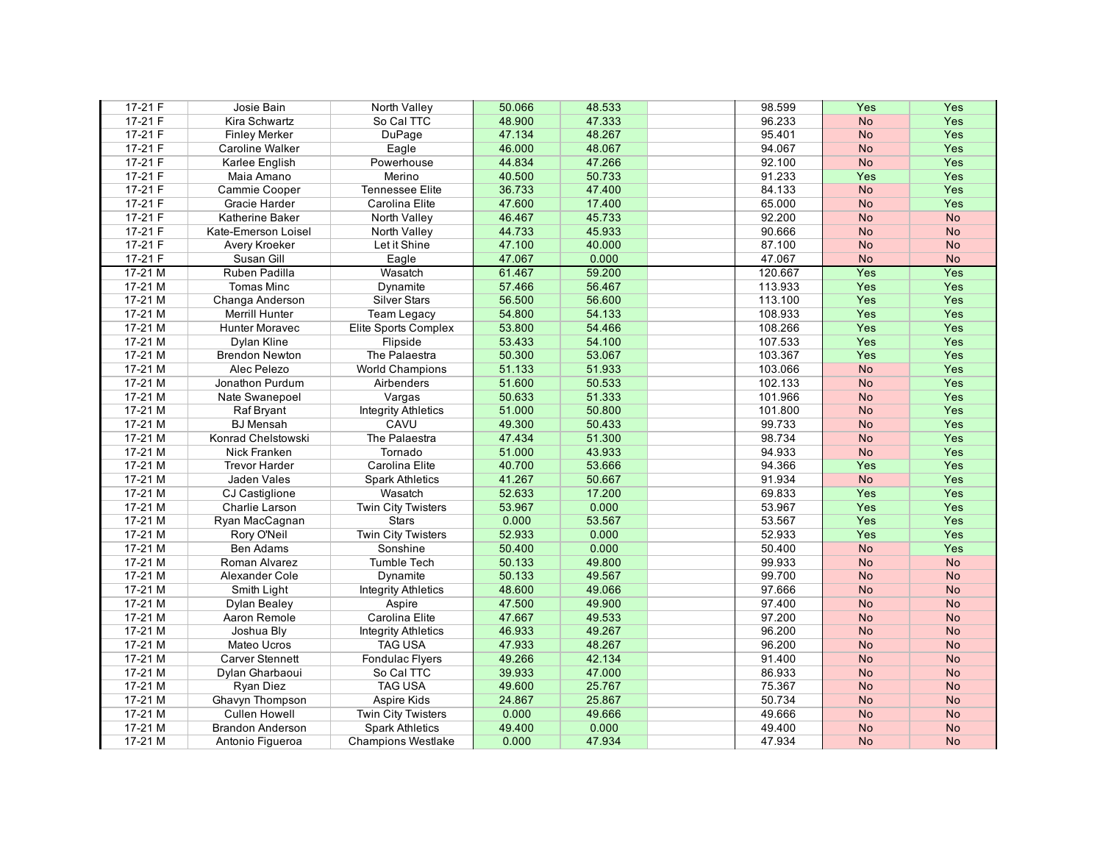| $17-21 F$ | Josie Bain              | <b>North Valley</b>        | 50.066 | 48.533 | 98.599  | Yes       | Yes       |
|-----------|-------------------------|----------------------------|--------|--------|---------|-----------|-----------|
| 17-21 F   | Kira Schwartz           | So Cal TTC                 | 48.900 | 47.333 | 96.233  | <b>No</b> | Yes       |
| 17-21 F   | <b>Finley Merker</b>    | DuPage                     | 47.134 | 48.267 | 95.401  | <b>No</b> | Yes       |
| 17-21 F   | <b>Caroline Walker</b>  | Eagle                      | 46.000 | 48.067 | 94.067  | <b>No</b> | Yes       |
| 17-21 F   | Karlee English          | Powerhouse                 | 44.834 | 47.266 | 92.100  | <b>No</b> | Yes       |
| $17-21 F$ | Maia Amano              | Merino                     | 40.500 | 50.733 | 91.233  | Yes       | Yes       |
| 17-21 F   | Cammie Cooper           | <b>Tennessee Elite</b>     | 36.733 | 47.400 | 84.133  | <b>No</b> | Yes       |
| 17-21 F   | Gracie Harder           | Carolina Elite             | 47.600 | 17.400 | 65.000  | <b>No</b> | Yes       |
| $17-21 F$ | Katherine Baker         | North Valley               | 46.467 | 45.733 | 92.200  | <b>No</b> | <b>No</b> |
| 17-21 F   | Kate-Emerson Loisel     | North Valley               | 44.733 | 45.933 | 90.666  | <b>No</b> | <b>No</b> |
| $17-21 F$ | <b>Avery Kroeker</b>    | Let it Shine               | 47.100 | 40.000 | 87.100  | <b>No</b> | <b>No</b> |
| $17-21 F$ | Susan Gill              | Eagle                      | 47.067 | 0.000  | 47.067  | <b>No</b> | <b>No</b> |
| $17-21$ M | Ruben Padilla           | Wasatch                    | 61.467 | 59.200 | 120.667 | Yes       | Yes       |
| $17-21$ M | <b>Tomas Minc</b>       | <b>Dynamite</b>            | 57.466 | 56.467 | 113.933 | Yes       | Yes       |
| $17-21$ M | Changa Anderson         | <b>Silver Stars</b>        | 56.500 | 56.600 | 113.100 | Yes       | Yes       |
| $17-21$ M | Merrill Hunter          | <b>Team Legacy</b>         | 54.800 | 54.133 | 108.933 | Yes       | Yes       |
| $17-21$ M | <b>Hunter Moravec</b>   | Elite Sports Complex       | 53.800 | 54.466 | 108.266 | Yes       | Yes       |
| 17-21 M   | Dylan Kline             | Flipside                   | 53.433 | 54.100 | 107.533 | Yes       | Yes       |
| $17-21$ M | <b>Brendon Newton</b>   | The Palaestra              | 50.300 | 53.067 | 103.367 | Yes       | Yes       |
| 17-21 M   | Alec Pelezo             | <b>World Champions</b>     | 51.133 | 51.933 | 103.066 | <b>No</b> | Yes       |
| 17-21 M   | Jonathon Purdum         | Airbenders                 | 51.600 | 50.533 | 102.133 | <b>No</b> | Yes       |
| $17-21$ M | Nate Swanepoel          | Vargas                     | 50.633 | 51.333 | 101.966 | <b>No</b> | Yes       |
| 17-21 M   | Raf Bryant              | <b>Integrity Athletics</b> | 51.000 | 50.800 | 101.800 | <b>No</b> | Yes       |
| $17-21$ M | <b>BJ</b> Mensah        | CAVU                       | 49.300 | 50.433 | 99.733  | <b>No</b> | Yes       |
| 17-21 M   | Konrad Chelstowski      | The Palaestra              | 47.434 | 51.300 | 98.734  | <b>No</b> | Yes       |
| $17-21$ M | Nick Franken            | Tornado                    | 51.000 | 43.933 | 94.933  | <b>No</b> | Yes       |
| $17-21$ M | <b>Trevor Harder</b>    | Carolina Elite             | 40.700 | 53.666 | 94.366  | Yes       | Yes       |
| 17-21 M   | Jaden Vales             | <b>Spark Athletics</b>     | 41.267 | 50.667 | 91.934  | <b>No</b> | Yes       |
| $17-21$ M | <b>CJ</b> Castiglione   | Wasatch                    | 52.633 | 17.200 | 69.833  | Yes       | Yes       |
| 17-21 M   | Charlie Larson          | <b>Twin City Twisters</b>  | 53.967 | 0.000  | 53.967  | Yes       | Yes       |
| $17-21$ M | Ryan MacCagnan          | <b>Stars</b>               | 0.000  | 53.567 | 53.567  | Yes       | Yes       |
| $17-21$ M | Rory O'Neil             | <b>Twin City Twisters</b>  | 52.933 | 0.000  | 52.933  | Yes       | Yes       |
| 17-21 M   | Ben Adams               | Sonshine                   | 50.400 | 0.000  | 50.400  | <b>No</b> | Yes       |
| $17-21$ M | Roman Alvarez           | <b>Tumble Tech</b>         | 50.133 | 49.800 | 99.933  | <b>No</b> | <b>No</b> |
| $17-21$ M | Alexander Cole          | Dynamite                   | 50.133 | 49.567 | 99.700  | <b>No</b> | <b>No</b> |
| $17-21$ M | Smith Light             | <b>Integrity Athletics</b> | 48.600 | 49.066 | 97.666  | <b>No</b> | <b>No</b> |
| 17-21 M   | Dylan Bealey            | Aspire                     | 47.500 | 49.900 | 97.400  | <b>No</b> | <b>No</b> |
| 17-21 M   | Aaron Remole            | Carolina Elite             | 47.667 | 49.533 | 97.200  | <b>No</b> | <b>No</b> |
| 17-21 M   | Joshua Bly              | <b>Integrity Athletics</b> | 46.933 | 49.267 | 96.200  | <b>No</b> | <b>No</b> |
| 17-21 M   | <b>Mateo Ucros</b>      | <b>TAG USA</b>             | 47.933 | 48.267 | 96.200  | <b>No</b> | <b>No</b> |
| 17-21 M   | <b>Carver Stennett</b>  | <b>Fondulac Flyers</b>     | 49.266 | 42.134 | 91.400  | <b>No</b> | <b>No</b> |
| 17-21 M   | Dylan Gharbaoui         | So Cal TTC                 | 39.933 | 47.000 | 86.933  | <b>No</b> | <b>No</b> |
| 17-21 M   | Ryan Diez               | <b>TAG USA</b>             | 49.600 | 25.767 | 75.367  | <b>No</b> | <b>No</b> |
| $17-21$ M | Ghavyn Thompson         | Aspire Kids                | 24.867 | 25.867 | 50.734  | <b>No</b> | <b>No</b> |
| 17-21 M   | <b>Cullen Howell</b>    | <b>Twin City Twisters</b>  | 0.000  | 49.666 | 49.666  | <b>No</b> | <b>No</b> |
| 17-21 M   | <b>Brandon Anderson</b> | <b>Spark Athletics</b>     | 49.400 | 0.000  | 49.400  | <b>No</b> | <b>No</b> |
| 17-21 M   | Antonio Figueroa        | <b>Champions Westlake</b>  | 0.000  | 47.934 | 47.934  | <b>No</b> | <b>No</b> |